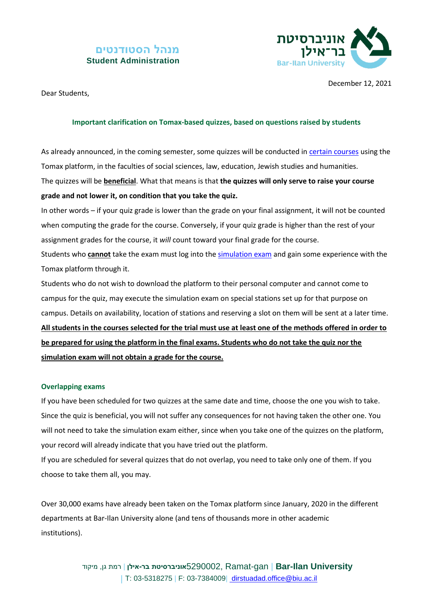## **מנהל הסטודנטים Student Administration**



Dear Students,

December 12, 2021

## **Important clarification on Tomax-based quizzes, based on questions raised by students**

As already announced, in the coming semester, some quizzes will be conducted in [certain courses](https://stuad.biu.ac.il/node/4290) using the Tomax platform, in the faculties of social sciences, law, education, Jewish studies and humanities. The quizzes will be **beneficial**. What that means is that **the quizzes will only serve to raise your course grade and not lower it, on condition that you take the quiz.**

In other words – if your quiz grade is lower than the grade on your final assignment, it will not be counted when computing the grade for the course. Conversely, if your quiz grade is higher than the rest of your assignment grades for the course, it *will* count toward your final grade for the course. Students who **cannot** take the exam must log into th[e simulation exam](https://stuad.biu.ac.il/files_stuad/students-admin/news/281121hometomaxae.pdf) and gain some experience with the

Tomax platform through it.

Students who do not wish to download the platform to their personal computer and cannot come to campus for the quiz, may execute the simulation exam on special stations set up for that purpose on campus. Details on availability, location of stations and reserving a slot on them will be sent at a later time.

**All students in the courses selected for the trial must use at least one of the methods offered in order to be prepared for using the platform in the final exams. Students who do not take the quiz nor the simulation exam will not obtain a grade for the course.**

## **Overlapping exams**

If you have been scheduled for two quizzes at the same date and time, choose the one you wish to take. Since the quiz is beneficial, you will not suffer any consequences for not having taken the other one. You will not need to take the simulation exam either, since when you take one of the quizzes on the platform, your record will already indicate that you have tried out the platform.

If you are scheduled for several quizzes that do not overlap, you need to take only one of them. If you choose to take them all, you may.

Over 30,000 exams have already been taken on the Tomax platform since January, 2020 in the different departments at Bar-Ilan University alone (and tens of thousands more in other academic institutions).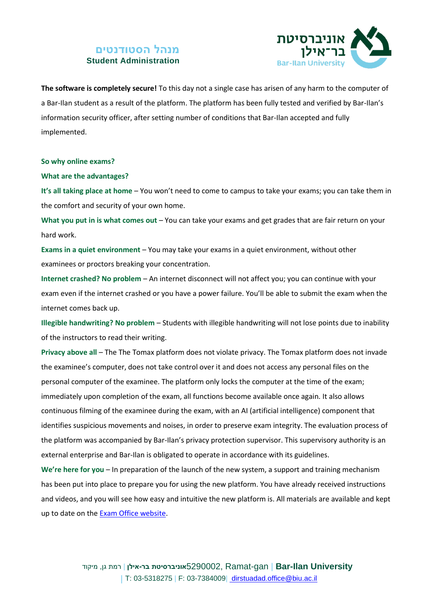## **מנהל הסטודנטים Student Administration**



**The software is completely secure!** To this day not a single case has arisen of any harm to the computer of a Bar-Ilan student as a result of the platform. The platform has been fully tested and verified by Bar-Ilan's information security officer, after setting number of conditions that Bar-Ilan accepted and fully implemented.

**So why online exams?**

**What are the advantages?** 

**It's all taking place at home** – You won't need to come to campus to take your exams; you can take them in the comfort and security of your own home.

**What you put in is what comes out** – You can take your exams and get grades that are fair return on your hard work.

**Exams in a quiet environment** – You may take your exams in a quiet environment, without other examinees or proctors breaking your concentration.

**Internet crashed? No problem** – An internet disconnect will not affect you; you can continue with your exam even if the internet crashed or you have a power failure. You'll be able to submit the exam when the internet comes back up.

**Illegible handwriting? No problem** – Students with illegible handwriting will not lose points due to inability of the instructors to read their writing.

**Privacy above all** – The The Tomax platform does not violate privacy. The Tomax platform does not invade the examinee's computer, does not take control over it and does not access any personal files on the personal computer of the examinee. The platform only locks the computer at the time of the exam; immediately upon completion of the exam, all functions become available once again. It also allows continuous filming of the examinee during the exam, with an AI (artificial intelligence) component that identifies suspicious movements and noises, in order to preserve exam integrity. The evaluation process of the platform was accompanied by Bar-Ilan's privacy protection supervisor. This supervisory authority is an external enterprise and Bar-Ilan is obligated to operate in accordance with its guidelines.

**We're here for you** – In preparation of the launch of the new system, a support and training mechanism has been put into place to prepare you for using the new platform. You have already received instructions and videos, and you will see how easy and intuitive the new platform is. All materials are available and kept up to date on the [Exam Office website.](https://stuad.biu.ac.il/mador/behinot)